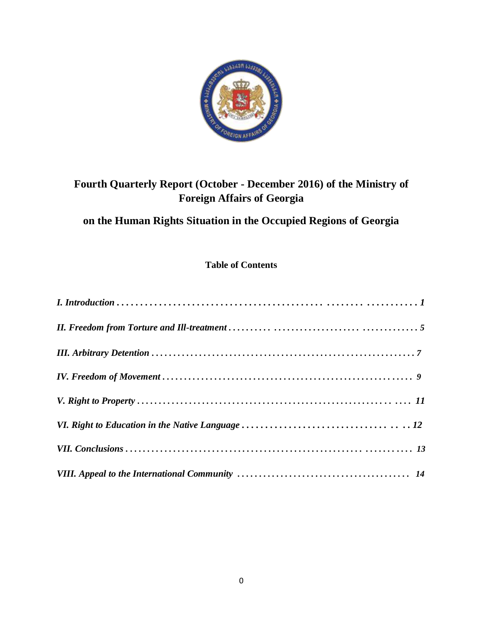

# **Fourth Quarterly Report (October - December 2016) of the Ministry of Foreign Affairs of Georgia**

# **on the Human Rights Situation in the Occupied Regions of Georgia**

### **Table of Contents**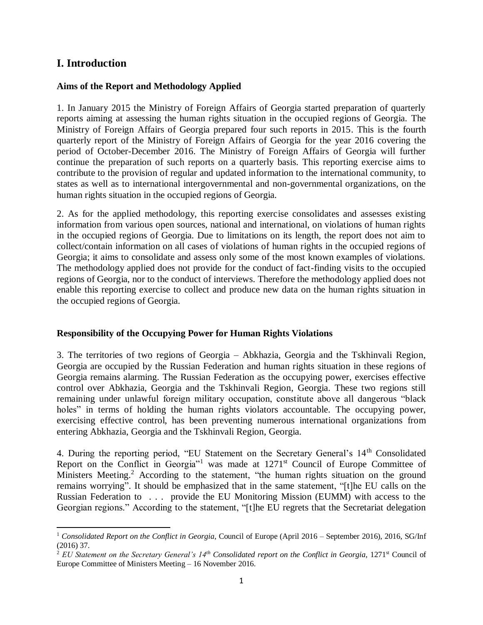## **I. Introduction**

 $\overline{\phantom{a}}$ 

#### **Aims of the Report and Methodology Applied**

1. In January 2015 the Ministry of Foreign Affairs of Georgia started preparation of quarterly reports aiming at assessing the human rights situation in the occupied regions of Georgia. The Ministry of Foreign Affairs of Georgia prepared four such reports in 2015. This is the fourth quarterly report of the Ministry of Foreign Affairs of Georgia for the year 2016 covering the period of October-December 2016. The Ministry of Foreign Affairs of Georgia will further continue the preparation of such reports on a quarterly basis. This reporting exercise aims to contribute to the provision of regular and updated information to the international community, to states as well as to international intergovernmental and non-governmental organizations, on the human rights situation in the occupied regions of Georgia.

2. As for the applied methodology, this reporting exercise consolidates and assesses existing information from various open sources, national and international, on violations of human rights in the occupied regions of Georgia. Due to limitations on its length, the report does not aim to collect/contain information on all cases of violations of human rights in the occupied regions of Georgia; it aims to consolidate and assess only some of the most known examples of violations. The methodology applied does not provide for the conduct of fact-finding visits to the occupied regions of Georgia, nor to the conduct of interviews. Therefore the methodology applied does not enable this reporting exercise to collect and produce new data on the human rights situation in the occupied regions of Georgia.

#### **Responsibility of the Occupying Power for Human Rights Violations**

3. The territories of two regions of Georgia – Abkhazia, Georgia and the Tskhinvali Region, Georgia are occupied by the Russian Federation and human rights situation in these regions of Georgia remains alarming. The Russian Federation as the occupying power, exercises effective control over Abkhazia, Georgia and the Tskhinvali Region, Georgia. These two regions still remaining under unlawful foreign military occupation, constitute above all dangerous "black holes" in terms of holding the human rights violators accountable. The occupying power, exercising effective control, has been preventing numerous international organizations from entering Abkhazia, Georgia and the Tskhinvali Region, Georgia.

4. During the reporting period, "EU Statement on the Secretary General's 14<sup>th</sup> Consolidated Report on the Conflict in Georgia"<sup>1</sup> was made at 1271<sup>st</sup> Council of Europe Committee of Ministers Meeting.<sup>2</sup> According to the statement, "the human rights situation on the ground remains worrying". It should be emphasized that in the same statement, "[t]he EU calls on the Russian Federation to . . . provide the EU Monitoring Mission (EUMM) with access to the Georgian regions." According to the statement, "[t]he EU regrets that the Secretariat delegation

<sup>&</sup>lt;sup>1</sup> Consolidated Report on the Conflict in Georgia, Council of Europe (April 2016 – September 2016), 2016, SG/Inf (2016) 37.

<sup>&</sup>lt;sup>2</sup> *EU Statement on the Secretary General's 14<sup>th</sup> Consolidated report on the Conflict in Georgia, 1271<sup>st</sup> Council of* Europe Committee of Ministers Meeting – 16 November 2016.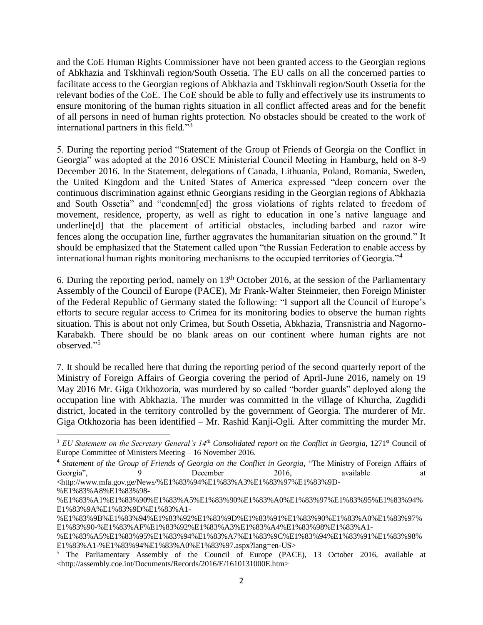and the CoE Human Rights Commissioner have not been granted access to the Georgian regions of Abkhazia and Tskhinvali region/South Ossetia. The EU calls on all the concerned parties to facilitate access to the Georgian regions of Abkhazia and Tskhinvali region/South Ossetia for the relevant bodies of the CoE. The CoE should be able to fully and effectively use its instruments to ensure monitoring of the human rights situation in all conflict affected areas and for the benefit of all persons in need of human rights protection. No obstacles should be created to the work of international partners in this field."<sup>3</sup>

5. During the reporting period "Statement of the Group of Friends of Georgia on the Conflict in Georgia" was adopted at the 2016 OSCE Ministerial Council Meeting in Hamburg, held on 8-9 December 2016. In the Statement, delegations of Canada, Lithuania, Poland, Romania, Sweden, the United Kingdom and the United States of America expressed "deep concern over the continuous discrimination against ethnic Georgians residing in the Georgian regions of Abkhazia and South Ossetia" and "condemn[ed] the gross violations of rights related to freedom of movement, residence, property, as well as right to education in one's native language and underline[d] that the placement of artificial obstacles, including barbed and razor wire fences along the occupation line, further aggravates the humanitarian situation on the ground." It should be emphasized that the Statement called upon "the Russian Federation to enable access by international human rights monitoring mechanisms to the occupied territories of Georgia."<sup>4</sup>

6. During the reporting period, namely on  $13<sup>th</sup>$  October 2016, at the session of the Parliamentary Assembly of the Council of Europe (PACE), Mr Frank-Walter Steinmeier, then Foreign Minister of the Federal Republic of Germany stated the following: "I support all the Council of Europe's efforts to secure regular access to Crimea for its monitoring bodies to observe the human rights situation. This is about not only Crimea, but South Ossetia, Abkhazia, Transnistria and Nagorno-Karabakh. There should be no blank areas on our continent where human rights are not observed."<sup>5</sup>

7. It should be recalled here that during the reporting period of the second quarterly report of the Ministry of Foreign Affairs of Georgia covering the period of April-June 2016, namely on 19 May 2016 Mr. Giga Otkhozoria, was murdered by so called "border guards" deployed along the occupation line with Abkhazia. The murder was committed in the village of Khurcha, Zugdidi district, located in the territory controlled by the government of Georgia. The murderer of Mr. Giga Otkhozoria has been identified – Mr. Rashid Kanji-Ogli. After committing the murder Mr.

 $\overline{a}$ <sup>3</sup> *EU Statement on the Secretary General's 14<sup>th</sup> Consolidated report on the Conflict in Georgia, 1271<sup>st</sup> Council of* Europe Committee of Ministers Meeting – 16 November 2016.

<sup>4</sup> *Statement of the Group of Friends of Georgia on the Conflict in Georgia*, "The Ministry of Foreign Affairs of Georgia", 9 December 2016, available at <http://www.mfa.gov.ge/News/%E1%83%94%E1%83%A3%E1%83%97%E1%83%9D- %E1%83%A8%E1%83%98-

<sup>%</sup>E1%83%A1%E1%83%90%E1%83%A5%E1%83%90%E1%83%A0%E1%83%97%E1%83%95%E1%83%94% E1%83%9A%E1%83%9D%E1%83%A1-

<sup>%</sup>E1%83%9B%E1%83%94%E1%83%92%E1%83%9D%E1%83%91%E1%83%90%E1%83%A0%E1%83%97% E1%83%90-%E1%83%AF%E1%83%92%E1%83%A3%E1%83%A4%E1%83%98%E1%83%A1-

<sup>%</sup>E1%83%A5%E1%83%95%E1%83%94%E1%83%A7%E1%83%9C%E1%83%94%E1%83%91%E1%83%98% E1%83%A1-%E1%83%94%E1%83%A0%E1%83%97.aspx?lang=en-US>

<sup>5</sup> The Parliamentary Assembly of the Council of Europe (PACE), 13 October 2016, available at <http://assembly.coe.int/Documents/Records/2016/E/1610131000E.htm>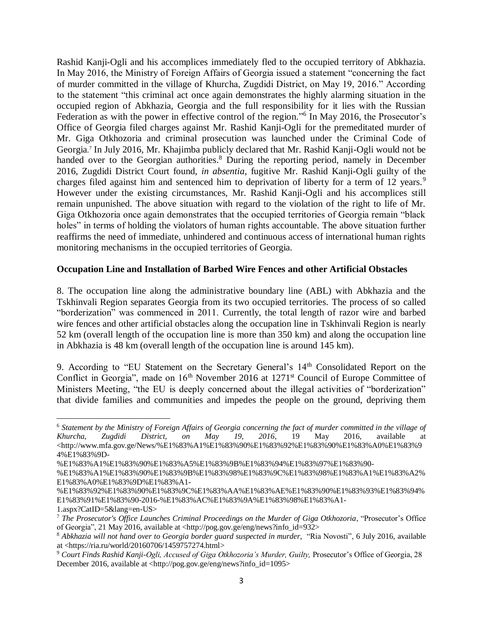Rashid Kanji-Ogli and his accomplices immediately fled to the occupied territory of Abkhazia. In May 2016, the Ministry of Foreign Affairs of Georgia issued a statement "concerning the fact of murder committed in the village of Khurcha, Zugdidi District, on May 19, 2016." According to the statement "this criminal act once again demonstrates the highly alarming situation in the occupied region of Abkhazia, Georgia and the full responsibility for it lies with the Russian Federation as with the power in effective control of the region."<sup>6</sup> In May 2016, the Prosecutor's Office of Georgia filed charges against Mr. Rashid Kanji-Ogli for the premeditated murder of Mr. Giga Otkhozoria and criminal prosecution was launched under the Criminal Code of Georgia. 7 In July 2016, Mr. Khajimba publicly declared that Mr. Rashid Kanji-Ogli would not be handed over to the Georgian authorities.<sup>8</sup> During the reporting period, namely in December 2016, Zugdidi District Court found, *in absentia*, fugitive Mr. Rashid Kanji-Ogli guilty of the charges filed against him and sentenced him to deprivation of liberty for a term of 12 years.<sup>9</sup> However under the existing circumstances, Mr. Rashid Kanji-Ogli and his accomplices still remain unpunished. The above situation with regard to the violation of the right to life of Mr. Giga Otkhozoria once again demonstrates that the occupied territories of Georgia remain "black holes" in terms of holding the violators of human rights accountable. The above situation further reaffirms the need of immediate, unhindered and continuous access of international human rights monitoring mechanisms in the occupied territories of Georgia.

#### **Occupation Line and Installation of Barbed Wire Fences and other Artificial Obstacles**

8. The occupation line along the administrative boundary line (ABL) with Abkhazia and the Tskhinvali Region separates Georgia from its two occupied territories. The process of so called "borderization" was commenced in 2011. Currently, the total length of razor wire and barbed wire fences and other artificial obstacles along the occupation line in Tskhinvali Region is nearly 52 km (overall length of the occupation line is more than 350 km) and along the occupation line in Abkhazia is 48 km (overall length of the occupation line is around 145 km).

9. According to "EU Statement on the Secretary General's 14<sup>th</sup> Consolidated Report on the Conflict in Georgia", made on  $16<sup>th</sup>$  November 2016 at  $1271<sup>st</sup>$  Council of Europe Committee of Ministers Meeting, "the EU is deeply concerned about the illegal activities of "borderization" that divide families and communities and impedes the people on the ground, depriving them

 $\overline{\phantom{a}}$ 

<sup>6</sup> *Statement by the Ministry of Foreign Affairs of Georgia concerning the fact of murder committed in the village of Khurcha, Zugdidi District, on May 19, 2016*, 19 May 2016, available at <http://www.mfa.gov.ge/News/%E1%83%A1%E1%83%90%E1%83%92%E1%83%90%E1%83%A0%E1%83%9 4%E1%83%9D-

<sup>%</sup>E1%83%A1%E1%83%90%E1%83%A5%E1%83%9B%E1%83%94%E1%83%97%E1%83%90-

<sup>%</sup>E1%83%A1%E1%83%90%E1%83%9B%E1%83%98%E1%83%9C%E1%83%98%E1%83%A1%E1%83%A2% E1%83%A0%E1%83%9D%E1%83%A1-

<sup>%</sup>E1%83%92%E1%83%90%E1%83%9C%E1%83%AA%E1%83%AE%E1%83%90%E1%83%93%E1%83%94% E1%83%91%E1%83%90-2016-%E1%83%AC%E1%83%9A%E1%83%98%E1%83%A1-

<sup>1.</sup>aspx?CatID=5&lang=en-US>

<sup>7</sup> *The Prosecutor's Office Launches Criminal Proceedings on the Murder of Giga Otkhozoria*, "Prosecutor's Office of Georgia", 21 May 2016, available at  $\langle \frac{http://pog.gov.ge/eng/news?info_id=932>}{$ 

<sup>8</sup> *Abkhazia will not hand over to Georgia border guard suspected in murder,* "Ria Novosti", 6 July 2016, available at <https://ria.ru/world/20160706/1459757274.html>

<sup>&</sup>lt;sup>9</sup> Court Finds Rashid Kanji-Ogli, Accused of Giga Otkhozoria's Murder, Guilty, Prosecutor's Office of Georgia, 28 December 2016, available at <http://pog.gov.ge/eng/news?info\_id=1095>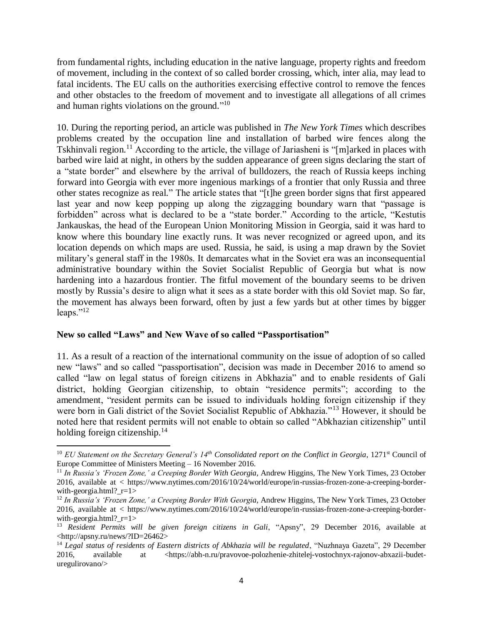from fundamental rights, including education in the native language, property rights and freedom of movement, including in the context of so called border crossing, which, inter alia, may lead to fatal incidents. The EU calls on the authorities exercising effective control to remove the fences and other obstacles to the freedom of movement and to investigate all allegations of all crimes and human rights violations on the ground."<sup>10</sup>

10. During the reporting period, an article was published in *The New York Times* which describes problems created by the occupation line and installation of barbed wire fences along the Tskhinvali region.<sup>11</sup> According to the article, the village of Jariasheni is "[m]arked in places with barbed wire laid at night, in others by the sudden appearance of green signs declaring the start of a "state border" and elsewhere by the arrival of bulldozers, the reach of [Russia](http://topics.nytimes.com/top/news/international/countriesandterritories/russiaandtheformersovietunion/index.html?inline=nyt-geo) keeps inching forward into [Georgia](http://topics.nytimes.com/top/news/international/countriesandterritories/georgia/index.html?inline=nyt-geo) with ever more ingenious markings of a frontier that only Russia and three other states recognize as real." The article states that "[t]he green border signs that first appeared last year and now keep popping up along the zigzagging boundary warn that "passage is forbidden" across what is declared to be a "state border." According to the article, "Kestutis Jankauskas, the head of the European Union Monitoring Mission in Georgia, said it was hard to know where this boundary line exactly runs. It was never recognized or agreed upon, and its location depends on which maps are used. Russia, he said, is using a map drawn by the Soviet military's general staff in the 1980s. It demarcates what in the Soviet era was an inconsequential administrative boundary within the Soviet Socialist Republic of Georgia but what is now hardening into a hazardous frontier. The fitful movement of the boundary seems to be driven mostly by Russia's desire to align what it sees as a state border with this old Soviet map. So far, the movement has always been forward, often by just a few yards but at other times by bigger leaps." $^{12}$ 

#### **New so called "Laws" and New Wave of so called "Passportisation"**

 $\overline{\phantom{a}}$ 

11. As a result of a reaction of the international community on the issue of adoption of so called new "laws" and so called "passportisation", decision was made in December 2016 to amend so called "law on legal status of foreign citizens in Abkhazia" and to enable residents of Gali district, holding Georgian citizenship, to obtain "residence permits"; according to the amendment, "resident permits can be issued to individuals holding foreign citizenship if they were born in Gali district of the Soviet Socialist Republic of Abkhazia."<sup>13</sup> However, it should be noted here that resident permits will not enable to obtain so called "Abkhazian citizenship" until holding foreign citizenship.<sup>14</sup>

<sup>&</sup>lt;sup>10</sup> *EU Statement on the Secretary General's 14<sup>th</sup> Consolidated report on the Conflict in Georgia*, 1271<sup>st</sup> Council of Europe Committee of Ministers Meeting – 16 November 2016.

<sup>11</sup> *In Russia's 'Frozen Zone,' a Creeping Border With Georgia*, Andrew Higgins, The New York Times, 23 October 2016, available at < https://www.nytimes.com/2016/10/24/world/europe/in-russias-frozen-zone-a-creeping-borderwith-georgia.html?\_r=1>

<sup>&</sup>lt;sup>12</sup> In Russia's 'Frozen Zone,' a Creeping Border With Georgia, Andrew Higgins, The New York Times, 23 October 2016, available at < https://www.nytimes.com/2016/10/24/world/europe/in-russias-frozen-zone-a-creeping-borderwith-georgia.html?  $r=1>$ 

<sup>13</sup> *Resident Permits will be given foreign citizens in Gali*, "Apsny", 29 December 2016, available at <http://apsny.ru/news/?ID=26462>

<sup>&</sup>lt;sup>14</sup> Legal status of residents of Eastern districts of Abkhazia will be regulated, "Nuzhnaya Gazeta", 29 December 2016, available at <https://abh-n.ru/pravovoe-polozhenie-zhitelej-vostochnyx-rajonov-abxazii-budeturegulirovano/>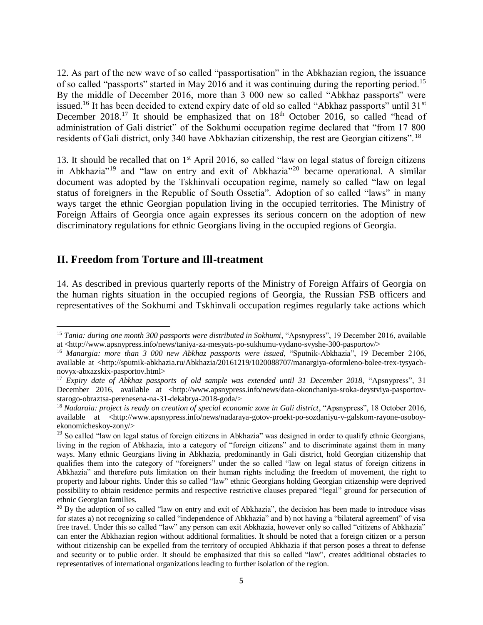12. As part of the new wave of so called "passportisation" in the Abkhazian region, the issuance of so called "passports" started in May 2016 and it was continuing during the reporting period.<sup>15</sup> By the middle of December 2016, more than 3 000 new so called "Abkhaz passports" were issued.<sup>16</sup> It has been decided to extend expiry date of old so called "Abkhaz passports" until 31<sup>st</sup> December 2018.<sup>17</sup> It should be emphasized that on  $18<sup>th</sup>$  October 2016, so called "head of administration of Gali district" of the Sokhumi occupation regime declared that "from 17 800 residents of Gali district, only 340 have Abkhazian citizenship, the rest are Georgian citizens". <sup>18</sup>

13. It should be recalled that on 1<sup>st</sup> April 2016, so called "law on legal status of foreign citizens in Abkhazia"<sup>19</sup> and "law on entry and exit of Abkhazia"<sup>20</sup> became operational. A similar document was adopted by the Tskhinvali occupation regime, namely so called "law on legal status of foreigners in the Republic of South Ossetia". Adoption of so called "laws" in many ways target the ethnic Georgian population living in the occupied territories. The Ministry of Foreign Affairs of Georgia once again expresses its serious concern on the adoption of new discriminatory regulations for ethnic Georgians living in the occupied regions of Georgia.

#### **II. Freedom from Torture and Ill-treatment**

 $\overline{a}$ 

14. As described in previous quarterly reports of the Ministry of Foreign Affairs of Georgia on the human rights situation in the occupied regions of Georgia, the Russian FSB officers and representatives of the Sokhumi and Tskhinvali occupation regimes regularly take actions which

<sup>&</sup>lt;sup>15</sup> Tania: during one month 300 passports were distributed in Sokhumi, "Apsnypress", 19 December 2016, available at <http://www.apsnypress.info/news/taniya-za-mesyats-po-sukhumu-vydano-svyshe-300-pasportov/>

<sup>16</sup> *Manargia: more than 3 000 new Abkhaz passports were issued*, "Sputnik-Abkhazia", 19 December 2106, available at <http://sputnik-abkhazia.ru/Abkhazia/20161219/1020088707/manargiya-oformleno-bolee-trex-tysyachnovyx-abxazskix-pasportov.html>

<sup>&</sup>lt;sup>17</sup> *Expiry date of Abkhaz passports of old sample was extended until 31 December 2018, "Apsnypress", 31* December 2016, available at <http://www.apsnypress.info/news/data-okonchaniya-sroka-deystviya-pasportovstarogo-obraztsa-perenesena-na-31-dekabrya-2018-goda/>

<sup>&</sup>lt;sup>18</sup> *Nadaraia: project is ready on creation of special economic zone in Gali district*, "Apsnypress", 18 October 2016, available at <http://www.apsnypress.info/news/nadaraya-gotov-proekt-po-sozdaniyu-v-galskom-rayone-osoboyekonomicheskoy-zony/>

<sup>&</sup>lt;sup>19</sup> So called "law on legal status of foreign citizens in Abkhazia" was designed in order to qualify ethnic Georgians, living in the region of Abkhazia, into a category of "foreign citizens" and to discriminate against them in many ways. Many ethnic Georgians living in Abkhazia, predominantly in Gali district, hold Georgian citizenship that qualifies them into the category of "foreigners" under the so called "law on legal status of foreign citizens in Abkhazia" and therefore puts limitation on their human rights including the freedom of movement, the right to property and labour rights. Under this so called "law" ethnic Georgians holding Georgian citizenship were deprived possibility to obtain residence permits and respective restrictive clauses prepared "legal" ground for persecution of ethnic Georgian families.

<sup>&</sup>lt;sup>20</sup> By the adoption of so called "law on entry and exit of Abkhazia", the decision has been made to introduce visas for states a) not recognizing so called "independence of Abkhazia" and b) not having a "bilateral agreement" of visa free travel. Under this so called "law" any person can exit Abkhazia, however only so called "citizens of Abkhazia" can enter the Abkhazian region without additional formalities. It should be noted that a foreign citizen or a person without citizenship can be expelled from the territory of occupied Abkhazia if that person poses a threat to defense and security or to public order. It should be emphasized that this so called "law", creates additional obstacles to representatives of international organizations leading to further isolation of the region.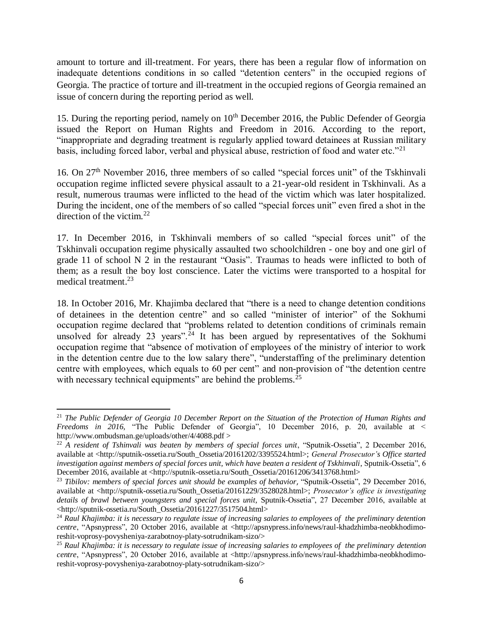amount to torture and ill-treatment. For years, there has been a regular flow of information on inadequate detentions conditions in so called "detention centers" in the occupied regions of Georgia. The practice of torture and ill-treatment in the occupied regions of Georgia remained an issue of concern during the reporting period as well.

15. During the reporting period, namely on 10<sup>th</sup> December 2016, the Public Defender of Georgia issued the Report on Human Rights and Freedom in 2016. According to the report, "inappropriate and degrading treatment is regularly applied toward detainees at Russian military basis, including forced labor, verbal and physical abuse, restriction of food and water etc."<sup>21</sup>

16. On 27<sup>th</sup> November 2016, three members of so called "special forces unit" of the Tskhinvali occupation regime inflicted severe physical assault to a 21-year-old resident in Tskhinvali. As a result, numerous traumas were inflicted to the head of the victim which was later hospitalized. During the incident, one of the members of so called "special forces unit" even fired a shot in the direction of the victim. $22$ 

17. In December 2016, in Tskhinvali members of so called "special forces unit" of the Tskhinvali occupation regime physically assaulted two schoolchildren - one boy and one girl of grade 11 of school N 2 in the restaurant "Oasis". Traumas to heads were inflicted to both of them; as a result the boy lost conscience. Later the victims were transported to a hospital for medical treatment. 23

18. In October 2016, Mr. Khajimba declared that "there is a need to change detention conditions of detainees in the detention centre" and so called "minister of interior" of the Sokhumi occupation regime declared that "problems related to detention conditions of criminals remain unsolved for already 23 years".<sup>24</sup> It has been argued by representatives of the Sokhumi occupation regime that "absence of motivation of employees of the ministry of interior to work in the detention centre due to the low salary there", "understaffing of the preliminary detention centre with employees, which equals to 60 per cent" and non-provision of "the detention centre with necessary technical equipments" are behind the problems.<sup>25</sup>

 $\overline{\phantom{a}}$ <sup>21</sup> *The Public Defender of Georgia 10 December Report on the Situation of the Protection of Human Rights and Freedoms in 2016,* "The Public Defender of Georgia", 10 December 2016, p. 20, available at < http://www.ombudsman.ge/uploads/other/4/4088.pdf >

<sup>&</sup>lt;sup>22</sup> *A resident of Tshinvali was beaten by members of special forces unit*, "Sputnik-Ossetia", 2 December 2016, available at <http://sputnik-ossetia.ru/South\_Ossetia/20161202/3395524.html>; *General Prosecutor's Office started investigation against members of special forces unit, which have beaten a resident of Tskhinvali*, Sputnik-Ossetia", 6 December 2016, available at <http://sputnik-ossetia.ru/South\_Ossetia/20161206/3413768.html>

<sup>23</sup> *Tibilov: members of special forces unit should be examples of behavior*, "Sputnik-Ossetia", 29 December 2016, available at <http://sputnik-ossetia.ru/South\_Ossetia/20161229/3528028.html>; *Prosecutor's office is investigating details of brawl between youngsters and special forces unit,* Sputnik-Ossetia", 27 December 2016, available at <http://sputnik-ossetia.ru/South\_Ossetia/20161227/3517504.html>

<sup>&</sup>lt;sup>24</sup> Raul Khajimba: it is necessary to regulate issue of increasing salaries to employees of the preliminary detention *centre*, "Apsnypress", 20 October 2016, available at <http://apsnypress.info/news/raul-khadzhimba-neobkhodimoreshit-voprosy-povysheniya-zarabotnoy-platy-sotrudnikam-sizo/>

<sup>25</sup> *Raul Khajimba: it is necessary to regulate issue of increasing salaries to employees of the preliminary detention centre*, "Apsnypress", 20 October 2016, available at <http://apsnypress.info/news/raul-khadzhimba-neobkhodimoreshit-voprosy-povysheniya-zarabotnoy-platy-sotrudnikam-sizo/>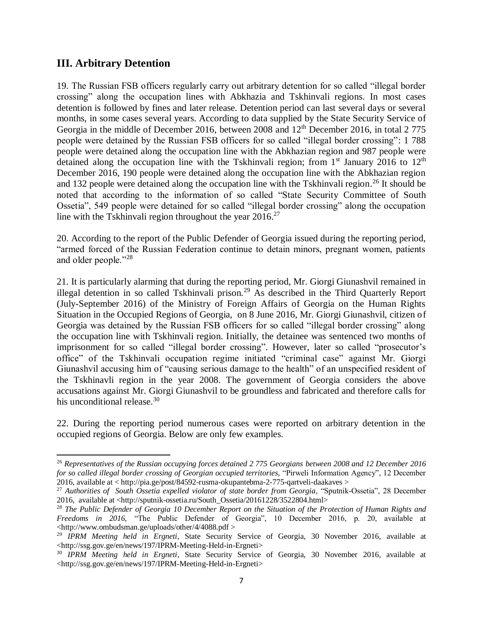### **III. Arbitrary Detention**

 $\overline{a}$ 

19. The Russian FSB officers regularly carry out arbitrary detention for so called "illegal border crossing" along the occupation lines with Abkhazia and Tskhinvali regions. In most cases detention is followed by fines and later release. Detention period can last several days or several months, in some cases several years. According to data supplied by the State Security Service of Georgia in the middle of December 2016, between 2008 and  $12<sup>th</sup>$  December 2016, in total 2 775 people were detained by the Russian FSB officers for so called "illegal border crossing": 1 788 people were detained along the occupation line with the Abkhazian region and 987 people were detained along the occupation line with the Tskhinvali region; from  $1<sup>st</sup>$  January 2016 to  $12<sup>th</sup>$ December 2016, 190 people were detained along the occupation line with the Abkhazian region and 132 people were detained along the occupation line with the Tskhinvali region.<sup>26</sup> It should be noted that according to the information of so called "State Security Committee of South Ossetia", 549 people were detained for so called "illegal border crossing" along the occupation line with the Tskhinvali region throughout the year  $2016$ <sup>27</sup>

20. According to the report of the Public Defender of Georgia issued during the reporting period, "armed forced of the Russian Federation continue to detain minors, pregnant women, patients and older people."<sup>28</sup>

21. It is particularly alarming that during the reporting period, Mr. Giorgi Giunashvil remained in illegal detention in so called Tskhinvali prison.<sup>29</sup> As described in the Third Quarterly Report (July-September 2016) of the Ministry of Foreign Affairs of Georgia on the Human Rights Situation in the Occupied Regions of Georgia, on 8 June 2016, Mr. Giorgi Giunashvil, citizen of Georgia was detained by the Russian FSB officers for so called "illegal border crossing" along the occupation line with Tskhinvali region. Initially, the detainee was sentenced two months of imprisonment for so called "illegal border crossing". However, later so called "prosecutor's office" of the Tskhinvali occupation regime initiated "criminal case" against Mr. Giorgi Giunashvil accusing him of "causing serious damage to the health" of an unspecified resident of the Tskhinavli region in the year 2008. The government of Georgia considers the above accusations against Mr. Giorgi Giunashvil to be groundless and fabricated and therefore calls for his unconditional release.<sup>30</sup>

22. During the reporting period numerous cases were reported on arbitrary detention in the occupied regions of Georgia. Below are only few examples.

<sup>26</sup> *Representatives of the Russian occupying forces detained 2 775 Georgians between 2008 and 12 December 2016 for so called illegal border crossing of Georgian occupied territories,* "Pirweli Information Agency", 12 December 2016, available at < http://pia.ge/post/84592-rusma-okupantebma-2-775-qartveli-daakaves >

<sup>&</sup>lt;sup>27</sup> Authorities of South Ossetia expelled violator of state border from Georgia, "Sputnik-Ossetia", 28 December 2016, available at <http://sputnik-ossetia.ru/South\_Ossetia/20161228/3522804.html>

<sup>28</sup> *The Public Defender of Georgia 10 December Report on the Situation of the Protection of Human Rights and Freedoms in 2016,* "The Public Defender of Georgia", 10 December 2016, p. 20, available at <http://www.ombudsman.ge/uploads/other/4/4088.pdf >

<sup>29</sup> *IPRM Meeting held in Ergneti*, State Security Service of Georgia, 30 November 2016, available at <http://ssg.gov.ge/en/news/197/IPRM-Meeting-Held-in-Ergneti>

<sup>30</sup> *IPRM Meeting held in Ergneti*, State Security Service of Georgia, 30 November 2016, available at <http://ssg.gov.ge/en/news/197/IPRM-Meeting-Held-in-Ergneti>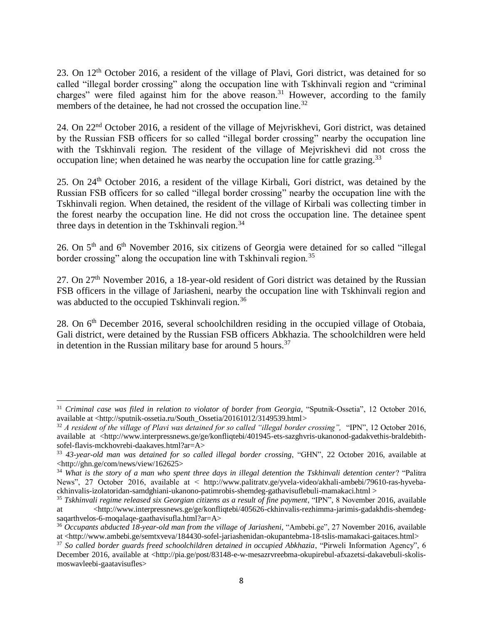23. On 12th October 2016, a resident of the village of Plavi, Gori district, was detained for so called "illegal border crossing" along the occupation line with Tskhinvali region and "criminal charges" were filed against him for the above reason.<sup>31</sup> However, according to the family members of the detainee, he had not crossed the occupation line.<sup>32</sup>

24. On 22nd October 2016, a resident of the village of Mejvriskhevi, Gori district, was detained by the Russian FSB officers for so called "illegal border crossing" nearby the occupation line with the Tskhinvali region. The resident of the village of Mejvriskhevi did not cross the occupation line; when detained he was nearby the occupation line for cattle grazing.<sup>33</sup>

25. On 24th October 2016, a resident of the village Kirbali, Gori district, was detained by the Russian FSB officers for so called "illegal border crossing" nearby the occupation line with the Tskhinvali region. When detained, the resident of the village of Kirbali was collecting timber in the forest nearby the occupation line. He did not cross the occupation line. The detainee spent three days in detention in the Tskhinvali region. 34

26. On 5th and 6th November 2016, six citizens of Georgia were detained for so called "illegal border crossing" along the occupation line with Tskhinvali region.<sup>35</sup>

27. On 27th November 2016, a 18-year-old resident of Gori district was detained by the Russian FSB officers in the village of Jariasheni, nearby the occupation line with Tskhinvali region and was abducted to the occupied Tskhinvali region.<sup>36</sup>

28. On 6<sup>th</sup> December 2016, several schoolchildren residing in the occupied village of Otobaia, Gali district, were detained by the Russian FSB officers Abkhazia. The schoolchildren were held in detention in the Russian military base for around  $5$  hours.<sup>37</sup>

 $\overline{\phantom{a}}$ <sup>31</sup> Criminal case was filed in relation to violator of border from Georgia, "Sputnik-Ossetia", 12 October 2016, available at <http://sputnik-ossetia.ru/South\_Ossetia/20161012/3149539.html*>*

<sup>32</sup> *A resident of the village of Plavi was detained for so called "illegal border crossing",* "IPN", 12 October 2016, available at <http://www.interpressnews.ge/ge/konfliqtebi/401945-ets-sazghvris-ukanonod-gadakvethis-braldebithsofel-flavis-mckhovrebi-daakaves.html?ar=A>

<sup>33</sup> *43-year-old man was detained for so called illegal border crossing*, "GHN", 22 October 2016, available at <http://ghn.ge/com/news/view/162625>

<sup>34</sup> *What is the story of a man who spent three days in illegal detention the Tskhinvali detention center*? "Palitra News", 27 October 2016, available at < http://www.palitratv.ge/yvela-video/akhali-ambebi/79610-ras-hyvebackhinvalis-izolatoridan-samdghiani-ukanono-patimrobis-shemdeg-gathavisuflebuli-mamakaci.html >

<sup>35</sup> *Tskhinvali regime released six Georgian citizens as a result of fine payment*, "IPN", 8 November 2016, available at <http://www.interpressnews.ge/ge/konfliqtebi/405626-ckhinvalis-rezhimma-jarimis-gadakhdis-shemdegsaqarthvelos-6-moqalaqe-gaathavisufla.html?ar=A>

<sup>36</sup> *Occupants abducted 18-year-old man from the village of Jariasheni*, "Ambebi.ge", 27 November 2016, available at <http://www.ambebi.ge/semtxveva/184430-sofel-jariashenidan-okupantebma-18-tslis-mamakaci-gaitaces.html>

<sup>&</sup>lt;sup>37</sup> So called border guards freed schoolchildren detained in occupied Abkhazia, "Pirweli Information Agency", 6 December 2016, available at <http://pia.ge/post/83148-e-w-mesazrvreebma-okupirebul-afxazetsi-dakavebuli-skolismoswavleebi-gaatavisufles>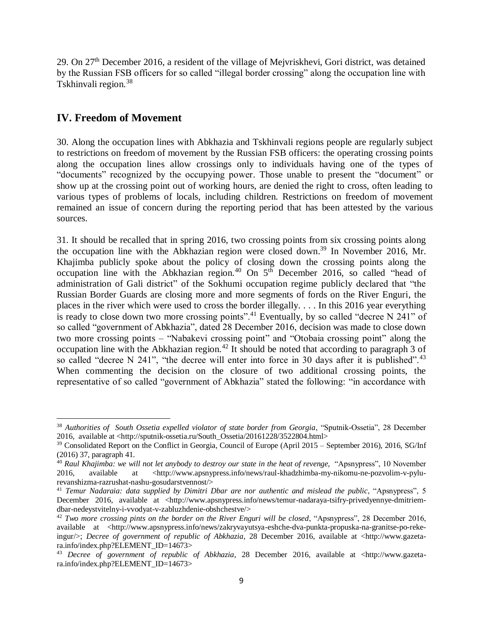29. On 27th December 2016, a resident of the village of Mejvriskhevi, Gori district, was detained by the Russian FSB officers for so called "illegal border crossing" along the occupation line with Tskhinvali region.<sup>38</sup>

## **IV. Freedom of Movement**

30. Along the occupation lines with Abkhazia and Tskhinvali regions people are regularly subject to restrictions on freedom of movement by the Russian FSB officers: the operating crossing points along the occupation lines allow crossings only to individuals having one of the types of "documents" recognized by the occupying power. Those unable to present the "document" or show up at the crossing point out of working hours, are denied the right to cross, often leading to various types of problems of locals, including children. Restrictions on freedom of movement remained an issue of concern during the reporting period that has been attested by the various sources.

31. It should be recalled that in spring 2016, two crossing points from six crossing points along the occupation line with the Abkhazian region were closed down.<sup>39</sup> In November 2016, Mr. Khajimba publicly spoke about the policy of closing down the crossing points along the occupation line with the Abkhazian region.<sup>40</sup> On  $5<sup>th</sup>$  December 2016, so called "head of administration of Gali district" of the Sokhumi occupation regime publicly declared that "the Russian Border Guards are closing more and more segments of fords on the River Enguri, the places in the river which were used to cross the border illegally. . . . In this 2016 year everything is ready to close down two more crossing points".<sup>41</sup> Eventually, by so called "decree N 241" of so called "government of Abkhazia", dated 28 December 2016, decision was made to close down two more crossing points – "Nabakevi crossing point" and "Otobaia crossing point" along the occupation line with the Abkhazian region.<sup>42</sup> It should be noted that according to paragraph  $\overline{3}$  of so called "decree N 241", "the decree will enter into force in 30 days after it is published".<sup>43</sup> When commenting the decision on the closure of two additional crossing points, the representative of so called "government of Abkhazia" stated the following: "in accordance with

 $\overline{\phantom{a}}$ <sup>38</sup> Authorities of South Ossetia expelled violator of state border from Georgia, "Sputnik-Ossetia", 28 December 2016, available at <http://sputnik-ossetia.ru/South\_Ossetia/20161228/3522804.html>

<sup>&</sup>lt;sup>39</sup> Consolidated Report on the Conflict in Georgia, Council of Europe (April 2015 – September 2016), 2016, SG/Inf (2016) 37, paragraph 41.

<sup>&</sup>lt;sup>40</sup> Raul Khajimba: we will not let anybody to destroy our state in the heat of revenge, "Apsnypress", 10 November 2016, available at <http://www.apsnypress.info/news/raul-khadzhimba-my-nikomu-ne-pozvolim-v-pylurevanshizma-razrushat-nashu-gosudarstvennost/>

<sup>41</sup> *Temur Nadaraia: data supplied by Dimitri Dbar are nor authentic and mislead the public*, "Apsnypress", 5 December 2016, available at <http://www.apsnypress.info/news/temur-nadaraya-tsifry-privedyennye-dmitriemdbar-nedeystvitelny-i-vvodyat-v-zabluzhdenie-obshchestve/>

<sup>42</sup> *Two more crossing pints on the border on the River Enguri will be closed*, "Apsnypress", 28 December 2016, available at <http://www.apsnypress.info/news/zakryvayutsya-eshche-dva-punkta-propuska-na-granitse-po-rekeingur/>; *Decree of government of republic of Abkhazia*, 28 December 2016, available at <http://www.gazetara.info/index.php?ELEMENT\_ID=14673>

<sup>43</sup> *Decree of government of republic of Abkhazia*, 28 December 2016, available at <http://www.gazetara.info/index.php?ELEMENT\_ID=14673>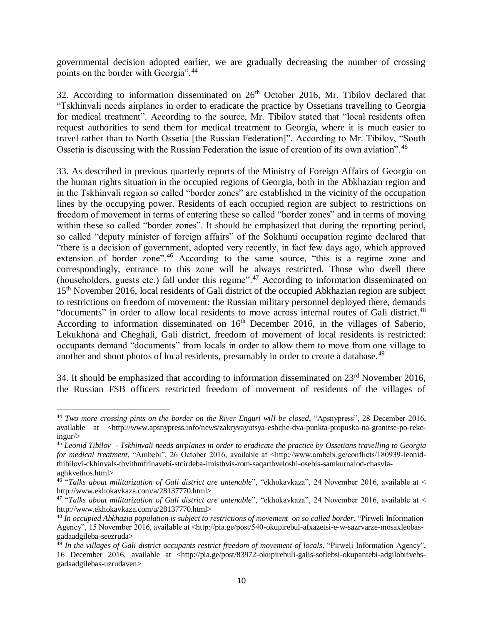governmental decision adopted earlier, we are gradually decreasing the number of crossing points on the border with Georgia".<sup>44</sup>

32. According to information disseminated on  $26<sup>th</sup>$  October 2016, Mr. Tibilov declared that "Tskhinvali needs airplanes in order to eradicate the practice by Ossetians travelling to Georgia for medical treatment". According to the source, Mr. Tibilov stated that "local residents often request authorities to send them for medical treatment to Georgia, where it is much easier to travel rather than to North Ossetia [the Russian Federation]". According to Mr. Tibilov, "South Ossetia is discussing with the Russian Federation the issue of creation of its own aviation". <sup>45</sup>

33. As described in previous quarterly reports of the Ministry of Foreign Affairs of Georgia on the human rights situation in the occupied regions of Georgia, both in the Abkhazian region and in the Tskhinvali region so called "border zones" are established in the vicinity of the occupation lines by the occupying power. Residents of each occupied region are subject to restrictions on freedom of movement in terms of entering these so called "border zones" and in terms of moving within these so called "border zones". It should be emphasized that during the reporting period, so called "deputy minister of foreign affairs" of the Sokhumi occupation regime declared that "there is a decision of government, adopted very recently, in fact few days ago, which approved extension of border zone".<sup>46</sup> According to the same source, "this is a regime zone and correspondingly, entrance to this zone will be always restricted. Those who dwell there (householders, guests etc.) fall under this regime".<sup>47</sup> According to information disseminated on 15<sup>th</sup> November 2016, local residents of Gali district of the occupied Abkhazian region are subject to restrictions on freedom of movement: the Russian military personnel deployed there, demands "documents" in order to allow local residents to move across internal routes of Gali district.<sup>48</sup> According to information disseminated on  $16<sup>th</sup>$  December 2016, in the villages of Saberio, Lekukhona and Cheghali, Gali district, freedom of movement of local residents is restricted: occupants demand "documents" from locals in order to allow them to move from one village to another and shoot photos of local residents, presumably in order to create a database.<sup>49</sup>

34. It should be emphasized that according to information disseminated on  $23<sup>rd</sup>$  November 2016, the Russian FSB officers restricted freedom of movement of residents of the villages of

 $\overline{a}$ <sup>44</sup> *Two more crossing pints on the border on the River Enguri will be closed*, "Apsnypress", 28 December 2016, available at <http://www.apsnypress.info/news/zakryvayutsya-eshche-dva-punkta-propuska-na-granitse-po-rekeingur/>

<sup>45</sup> *Leonid Tibilov - Tskhinvali needs airplanes in order to eradicate the practice by Ossetians travelling to Georgia for medical treatment*, "Ambebi", 26 October 2016, available at <http://www.ambebi.ge/conflicts/180939-leonidthibilovi-ckhinvals-thvithmfrinavebi-stcirdeba-imisthvis-rom-saqarthveloshi-osebis-samkurnalod-chasvlaaghkvethos.html>

<sup>&</sup>lt;sup>46</sup> "Talks about militarization of Gali district are untenable", "ekhokavkaza", 24 November 2016, available at < http://www.ekhokavkaza.com/a/28137770.html>

<sup>&</sup>lt;sup>47</sup> "Talks about militarization of Gali district are untenable", "ekhokavkaza", 24 November 2016, available at < http://www.ekhokavkaza.com/a/28137770.html>

<sup>48</sup> *In occupied Abkhazia population is subject to restrictions of movement on so called border*, "Pirweli Information Agency", 15 November 2016, available at <http://pia.ge/post/540-okupirebul-afxazetsi-e-w-sazrvarze-mosaxleobasgadaadgileba-seezruda>

<sup>49</sup> *In the villages of Gali district occupants restrict freedom of movement of locals*, "Pirweli Information Agency", 16 December 2016, available at <http://pia.ge/post/83972-okupirebuli-galis-soflebsi-okupantebi-adgilobrivebsgadaadgilebas-uzrudaven>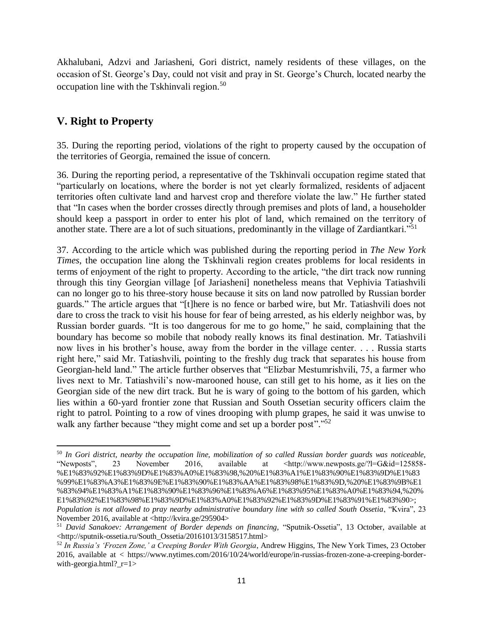Akhalubani, Adzvi and Jariasheni, Gori district, namely residents of these villages, on the occasion of St. George's Day, could not visit and pray in St. George's Church, located nearby the occupation line with the Tskhinvali region. 50

## **V. Right to Property**

 $\overline{\phantom{a}}$ 

35. During the reporting period, violations of the right to property caused by the occupation of the territories of Georgia, remained the issue of concern.

36. During the reporting period, a representative of the Tskhinvali occupation regime stated that "particularly on locations, where the border is not yet clearly formalized, residents of adjacent territories often cultivate land and harvest crop and therefore violate the law." He further stated that "In cases when the border crosses directly through premises and plots of land, a householder should keep a passport in order to enter his plot of land, which remained on the territory of another state. There are a lot of such situations, predominantly in the village of Zardiantkari."<sup>51</sup>

37. According to the article which was published during the reporting period in *The New York Times*, the occupation line along the Tskhinvali region creates problems for local residents in terms of enjoyment of the right to property. According to the article, "the dirt track now running through this tiny Georgian village [of Jariasheni] nonetheless means that Vephivia Tatiashvili can no longer go to his three-story house because it sits on land now patrolled by Russian border guards." The article argues that "[t]here is no fence or barbed wire, but Mr. Tatiashvili does not dare to cross the track to visit his house for fear of being arrested, as his elderly neighbor was, by Russian border guards. "It is too dangerous for me to go home," he said, complaining that the boundary has become so mobile that nobody really knows its final destination. Mr. Tatiashvili now lives in his brother's house, away from the border in the village center. . . . Russia starts right here," said Mr. Tatiashvili, pointing to the freshly dug track that separates his house from Georgian-held land." The article further observes that "Elizbar Mestumrishvili, 75, a farmer who lives next to Mr. Tatiashvili's now-marooned house, can still get to his home, as it lies on the Georgian side of the new dirt track. But he is wary of going to the bottom of his garden, which lies within a 60-yard frontier zone that Russian and South Ossetian security officers claim the right to patrol. Pointing to a row of vines drooping with plump grapes, he said it was unwise to walk any farther because "they might come and set up a border post"."<sup>52</sup>

<sup>50</sup> *In Gori district, nearby the occupation line, mobilization of so called Russian border guards was noticeable,*  "Newposts", 23 November 2016, available at <http://www.newposts.ge/?l=G&id=125858- %E1%83%92%E1%83%9D%E1%83%A0%E1%83%98,%20%E1%83%A1%E1%83%90%E1%83%9D%E1%83 %99%E1%83%A3%E1%83%9E%E1%83%90%E1%83%AA%E1%83%98%E1%83%9D,%20%E1%83%9B%E1 %83%94%E1%83%A1%E1%83%90%E1%83%96%E1%83%A6%E1%83%95%E1%83%A0%E1%83%94,%20% E1%83%92%E1%83%98%E1%83%9D%E1%83%A0%E1%83%92%E1%83%9D%E1%83%91%E1%83%90>; *Population is not allowed to pray nearby administrative boundary line with so called South Ossetia*, "Kvira", 23 November 2016, available at <http://kvira.ge/295904>

<sup>51</sup> *David Sanakoev: Arrangement of Border depends on financing,* "Sputnik-Ossetia", 13 October, available at <http://sputnik-ossetia.ru/South\_Ossetia/20161013/3158517.html>

<sup>52</sup> *In Russia's 'Frozen Zone,' a Creeping Border With Georgia*, Andrew Higgins, The New York Times, 23 October 2016, available at < https://www.nytimes.com/2016/10/24/world/europe/in-russias-frozen-zone-a-creeping-borderwith-georgia.html?  $r=1>$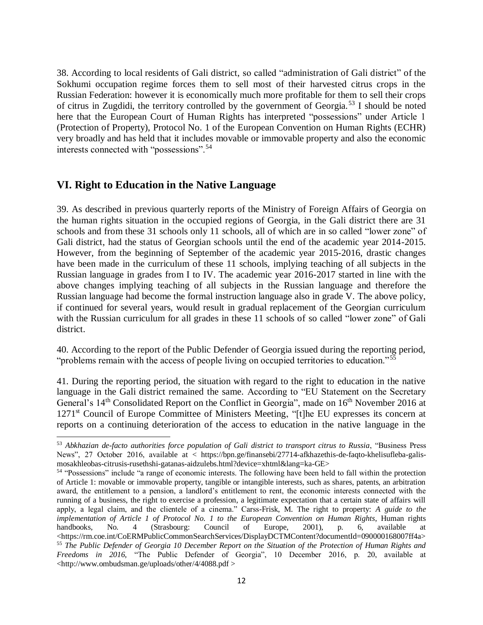38. According to local residents of Gali district, so called "administration of Gali district" of the Sokhumi occupation regime forces them to sell most of their harvested citrus crops in the Russian Federation: however it is economically much more profitable for them to sell their crops of citrus in Zugdidi, the territory controlled by the government of Georgia.<sup>53</sup> I should be noted here that the European Court of Human Rights has interpreted "possessions" under Article 1 (Protection of Property), Protocol No. 1 of the European Convention on Human Rights (ECHR) very broadly and has held that it includes movable or immovable property and also the economic interests connected with "possessions".<sup>54</sup>

## **VI. Right to Education in the Native Language**

 $\overline{a}$ 

39. As described in previous quarterly reports of the Ministry of Foreign Affairs of Georgia on the human rights situation in the occupied regions of Georgia, in the Gali district there are 31 schools and from these 31 schools only 11 schools, all of which are in so called "lower zone" of Gali district, had the status of Georgian schools until the end of the academic year 2014-2015. However, from the beginning of September of the academic year 2015-2016, drastic changes have been made in the curriculum of these 11 schools, implying teaching of all subjects in the Russian language in grades from I to IV. The academic year 2016-2017 started in line with the above changes implying teaching of all subjects in the Russian language and therefore the Russian language had become the formal instruction language also in grade V. The above policy, if continued for several years, would result in gradual replacement of the Georgian curriculum with the Russian curriculum for all grades in these 11 schools of so called "lower zone" of Gali district.

40. According to the report of the Public Defender of Georgia issued during the reporting period, "problems remain with the access of people living on occupied territories to education."<sup>55</sup>

41. During the reporting period, the situation with regard to the right to education in the native language in the Gali district remained the same. According to "EU Statement on the Secretary General's 14<sup>th</sup> Consolidated Report on the Conflict in Georgia", made on 16<sup>th</sup> November 2016 at 1271st Council of Europe Committee of Ministers Meeting, "[t]he EU expresses its concern at reports on a continuing deterioration of the access to education in the native language in the

<sup>53</sup> *Abkhazian de-facto authorities force population of Gali district to transport citrus to Russia*, "Business Press News", 27 October 2016, available at < https://bpn.ge/finansebi/27714-afkhazethis-de-faqto-khelisufleba-galismosakhleobas-citrusis-rusethshi-gatanas-aidzulebs.html?device=xhtml&lang=ka-GE>

<sup>54</sup> "Possessions" include "a range of economic interests. The following have been held to fall within the protection of Article 1: movable or immovable property, tangible or intangible interests, such as shares, patents, an arbitration award, the entitlement to a pension, a landlord's entitlement to rent, the economic interests connected with the running of a business, the right to exercise a profession, a legitimate expectation that a certain state of affairs will apply, a legal claim, and the clientele of a cinema." Carss-Frisk, M. The right to property: *A guide to the implementation of Article 1 of Protocol No. 1 to the European Convention on Human Rights*, Human rights handbooks, No. 4 (Strasbourg: Council of Europe, 2001), p. 6, available at <https://rm.coe.int/CoERMPublicCommonSearchServices/DisplayDCTMContent?documentId=090000168007ff4a> <sup>55</sup> *The Public Defender of Georgia 10 December Report on the Situation of the Protection of Human Rights and Freedoms in 2016,* "The Public Defender of Georgia", 10 December 2016, p. 20, available at <http://www.ombudsman.ge/uploads/other/4/4088.pdf >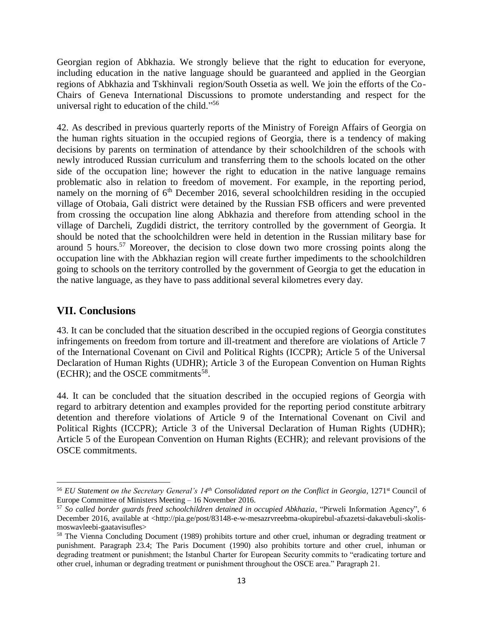Georgian region of Abkhazia. We strongly believe that the right to education for everyone, including education in the native language should be guaranteed and applied in the Georgian regions of Abkhazia and Tskhinvali region/South Ossetia as well. We join the efforts of the Co-Chairs of Geneva International Discussions to promote understanding and respect for the universal right to education of the child."<sup>56</sup>

42. As described in previous quarterly reports of the Ministry of Foreign Affairs of Georgia on the human rights situation in the occupied regions of Georgia, there is a tendency of making decisions by parents on termination of attendance by their schoolchildren of the schools with newly introduced Russian curriculum and transferring them to the schools located on the other side of the occupation line; however the right to education in the native language remains problematic also in relation to freedom of movement. For example, in the reporting period, namely on the morning of  $6<sup>th</sup>$  December 2016, several schoolchildren residing in the occupied village of Otobaia, Gali district were detained by the Russian FSB officers and were prevented from crossing the occupation line along Abkhazia and therefore from attending school in the village of Darcheli, Zugdidi district, the territory controlled by the government of Georgia. It should be noted that the schoolchildren were held in detention in the Russian military base for around 5 hours.<sup>57</sup> Moreover, the decision to close down two more crossing points along the occupation line with the Abkhazian region will create further impediments to the schoolchildren going to schools on the territory controlled by the government of Georgia to get the education in the native language, as they have to pass additional several kilometres every day.

#### **VII. Conclusions**

 $\overline{\phantom{a}}$ 

43. It can be concluded that the situation described in the occupied regions of Georgia constitutes infringements on freedom from torture and ill-treatment and therefore are violations of Article 7 of the International Covenant on Civil and Political Rights (ICCPR); Article 5 of the Universal Declaration of Human Rights (UDHR); Article 3 of the European Convention on Human Rights (ECHR); and the OSCE commitments<sup>58</sup>.

44. It can be concluded that the situation described in the occupied regions of Georgia with regard to arbitrary detention and examples provided for the reporting period constitute arbitrary detention and therefore violations of Article 9 of the International Covenant on Civil and Political Rights (ICCPR); Article 3 of the Universal Declaration of Human Rights (UDHR); Article 5 of the European Convention on Human Rights (ECHR); and relevant provisions of the OSCE commitments.

<sup>56</sup> *EU Statement on the Secretary General's 14th Consolidated report on the Conflict in Georgia*, 1271st Council of Europe Committee of Ministers Meeting – 16 November 2016.

<sup>57</sup> *So called border guards freed schoolchildren detained in occupied Abkhazia*, "Pirweli Information Agency", 6 December 2016, available at <http://pia.ge/post/83148-e-w-mesazrvreebma-okupirebul-afxazetsi-dakavebuli-skolismoswavleebi-gaatavisufles>

<sup>&</sup>lt;sup>58</sup> The Vienna Concluding Document (1989) prohibits torture and other cruel, inhuman or degrading treatment or punishment. Paragraph 23.4; The Paris Document (1990) also prohibits torture and other cruel, inhuman or degrading treatment or punishment; the Istanbul Charter for European Security commits to "eradicating torture and other cruel, inhuman or degrading treatment or punishment throughout the OSCE area." Paragraph 21.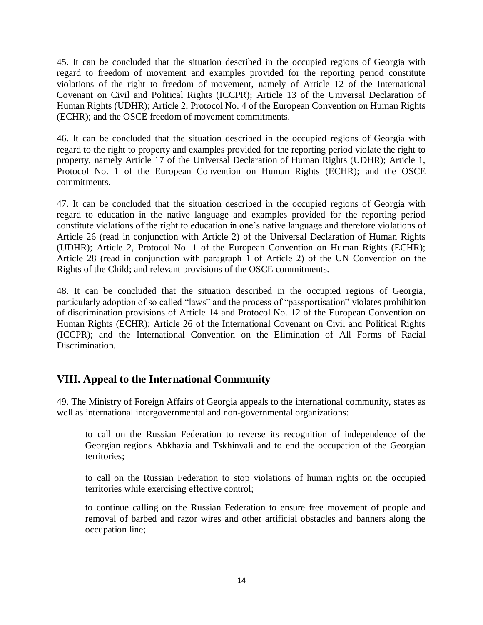45. It can be concluded that the situation described in the occupied regions of Georgia with regard to freedom of movement and examples provided for the reporting period constitute violations of the right to freedom of movement, namely of Article 12 of the International Covenant on Civil and Political Rights (ICCPR); Article 13 of the Universal Declaration of Human Rights (UDHR); Article 2, Protocol No. 4 of the European Convention on Human Rights (ECHR); and the OSCE freedom of movement commitments.

46. It can be concluded that the situation described in the occupied regions of Georgia with regard to the right to property and examples provided for the reporting period violate the right to property, namely Article 17 of the Universal Declaration of Human Rights (UDHR); Article 1, Protocol No. 1 of the European Convention on Human Rights (ECHR); and the OSCE commitments.

47. It can be concluded that the situation described in the occupied regions of Georgia with regard to education in the native language and examples provided for the reporting period constitute violations of the right to education in one's native language and therefore violations of Article 26 (read in conjunction with Article 2) of the Universal Declaration of Human Rights (UDHR); Article 2, Protocol No. 1 of the European Convention on Human Rights (ECHR); Article 28 (read in conjunction with paragraph 1 of Article 2) of the UN Convention on the Rights of the Child; and relevant provisions of the OSCE commitments.

48. It can be concluded that the situation described in the occupied regions of Georgia, particularly adoption of so called "laws" and the process of "passportisation" violates prohibition of discrimination provisions of Article 14 and Protocol No. 12 of the European Convention on Human Rights (ECHR); Article 26 of the International Covenant on Civil and Political Rights (ICCPR); and the International Convention on the Elimination of All Forms of Racial Discrimination.

## **VIII. Appeal to the International Community**

49. The Ministry of Foreign Affairs of Georgia appeals to the international community, states as well as international intergovernmental and non-governmental organizations:

to call on the Russian Federation to reverse its recognition of independence of the Georgian regions Abkhazia and Tskhinvali and to end the occupation of the Georgian territories;

to call on the Russian Federation to stop violations of human rights on the occupied territories while exercising effective control;

to continue calling on the Russian Federation to ensure free movement of people and removal of barbed and razor wires and other artificial obstacles and banners along the occupation line;